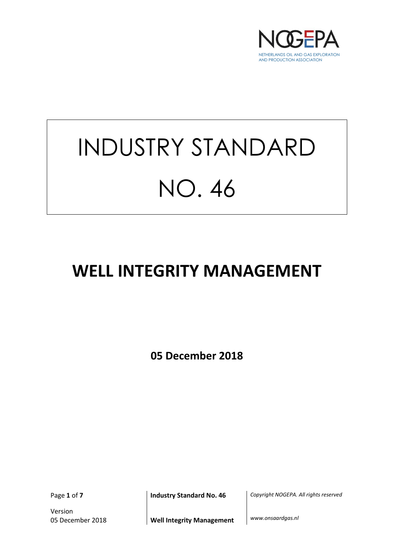

# INDUSTRY STANDARD NO. 46

## **WELL INTEGRITY MANAGEMENT**

**05 December 2018**

Version

Page **1** of **7 Industry Standard No. 46** *Copyright NOGEPA. All rights reserved*

05 December 2018 **Well Integrity Management** *www.onsaardgas.nl*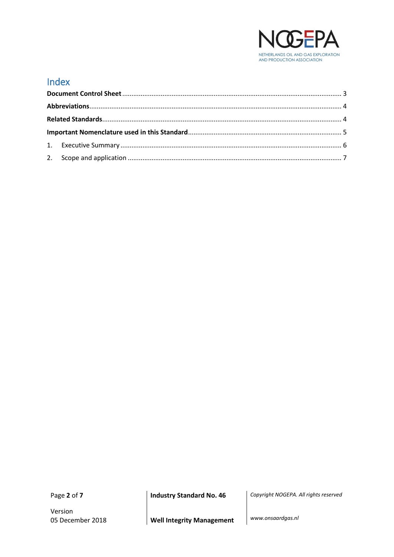

#### Index

Version

Page **2** of **7 Industry Standard No. 46** *Copyright NOGEPA. All rights reserved*

05 December 2018 **Well Integrity Management** *www.onsaardgas.nl*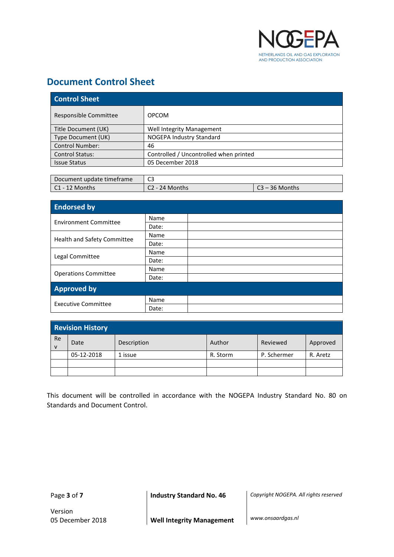

#### <span id="page-2-0"></span>**Document Control Sheet**

| <b>Control Sheet</b>   |                                        |  |
|------------------------|----------------------------------------|--|
| Responsible Committee  | <b>OPCOM</b>                           |  |
| Title Document (UK)    | Well Integrity Management              |  |
| Type Document (UK)     | NOGEPA Industry Standard               |  |
| <b>Control Number:</b> | 46                                     |  |
| <b>Control Status:</b> | Controlled / Uncontrolled when printed |  |
| <b>Issue Status</b>    | 05 December 2018                       |  |

| Document update timeframe | C3             |                  |
|---------------------------|----------------|------------------|
| l C1 - 12 Months          | C2 - 24 Months | $C3 - 36$ Months |

| <b>Endorsed by</b>           |       |  |
|------------------------------|-------|--|
| <b>Environment Committee</b> | Name  |  |
|                              | Date: |  |
|                              | Name  |  |
| Health and Safety Committee  | Date: |  |
|                              | Name  |  |
| Legal Committee              | Date: |  |
|                              | Name  |  |
| <b>Operations Committee</b>  | Date: |  |
| <b>Approved by</b>           |       |  |
|                              | Name  |  |
| <b>Executive Committee</b>   | Date: |  |

| <b>Revision History</b> |            |             |          |             |          |
|-------------------------|------------|-------------|----------|-------------|----------|
| Re<br>$\mathsf{v}$      | Date       | Description | Author   | Reviewed    | Approved |
|                         | 05-12-2018 | 1 issue     | R. Storm | P. Schermer | R. Aretz |
|                         |            |             |          |             |          |
|                         |            |             |          |             |          |

This document will be controlled in accordance with the NOGEPA Industry Standard No. 80 on Standards and Document Control.

Page **3** of **7 Industry Standard No. 46** *Copyright NOGEPA. All rights reserved*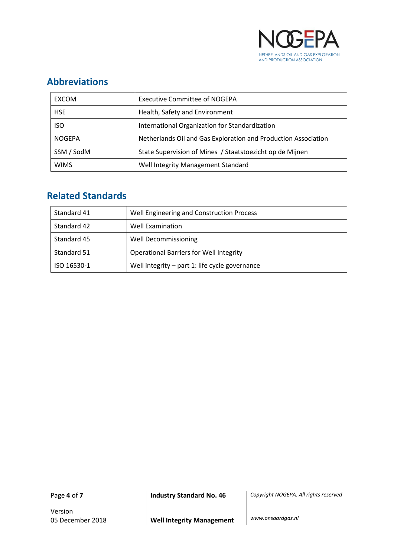

#### <span id="page-3-0"></span>**Abbreviations**

| <b>EXCOM</b>  | <b>Executive Committee of NOGEPA</b>                           |
|---------------|----------------------------------------------------------------|
| <b>HSE</b>    | Health, Safety and Environment                                 |
| <b>ISO</b>    | International Organization for Standardization                 |
| <b>NOGEPA</b> | Netherlands Oil and Gas Exploration and Production Association |
| SSM / SodM    | State Supervision of Mines / Staatstoezicht op de Mijnen       |
| <b>WIMS</b>   | Well Integrity Management Standard                             |

### <span id="page-3-1"></span>**Related Standards**

| Standard 41 | Well Engineering and Construction Process      |  |
|-------------|------------------------------------------------|--|
| Standard 42 | Well Examination                               |  |
| Standard 45 | <b>Well Decommissioning</b>                    |  |
| Standard 51 | <b>Operational Barriers for Well Integrity</b> |  |
| ISO 16530-1 | Well integrity - part 1: life cycle governance |  |

Version

Page **4** of **7 Industry Standard No. 46** *Copyright NOGEPA. All rights reserved*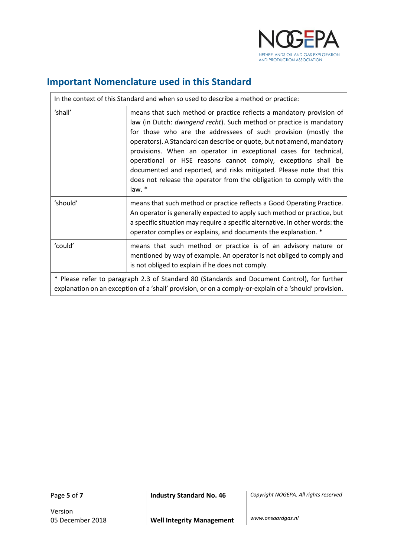

#### <span id="page-4-0"></span>**Important Nomenclature used in this Standard**

| In the context of this Standard and when so used to describe a method or practice:                                                                                                                     |                                                                                                                                                                                                                                                                                                                                                                                                                                                                                                                                                                                          |  |
|--------------------------------------------------------------------------------------------------------------------------------------------------------------------------------------------------------|------------------------------------------------------------------------------------------------------------------------------------------------------------------------------------------------------------------------------------------------------------------------------------------------------------------------------------------------------------------------------------------------------------------------------------------------------------------------------------------------------------------------------------------------------------------------------------------|--|
| 'shall'                                                                                                                                                                                                | means that such method or practice reflects a mandatory provision of<br>law (in Dutch: dwingend recht). Such method or practice is mandatory<br>for those who are the addressees of such provision (mostly the<br>operators). A Standard can describe or quote, but not amend, mandatory<br>provisions. When an operator in exceptional cases for technical,<br>operational or HSE reasons cannot comply, exceptions shall be<br>documented and reported, and risks mitigated. Please note that this<br>does not release the operator from the obligation to comply with the<br>law. $*$ |  |
| 'should'                                                                                                                                                                                               | means that such method or practice reflects a Good Operating Practice.<br>An operator is generally expected to apply such method or practice, but<br>a specific situation may require a specific alternative. In other words: the<br>operator complies or explains, and documents the explanation. *                                                                                                                                                                                                                                                                                     |  |
| 'could'                                                                                                                                                                                                | means that such method or practice is of an advisory nature or<br>mentioned by way of example. An operator is not obliged to comply and<br>is not obliged to explain if he does not comply.                                                                                                                                                                                                                                                                                                                                                                                              |  |
| * Please refer to paragraph 2.3 of Standard 80 (Standards and Document Control), for further<br>explanation on an exception of a 'shall' provision, or on a comply-or-explain of a 'should' provision. |                                                                                                                                                                                                                                                                                                                                                                                                                                                                                                                                                                                          |  |

 $\mathbf{r}$ 

Page **5** of **7 Industry Standard No. 46** *Copyright NOGEPA. All rights reserved*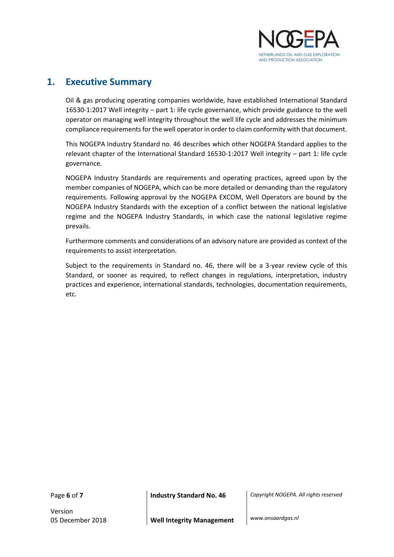

#### <span id="page-5-0"></span>**1. Executive Summary**

Oil & gas producing operating companies worldwide, have established International Standard 16530-1:2017 Well integrity – part 1: life cycle governance, which provide guidance to the well operator on managing well integrity throughout the well life cycle and addresses the minimum compliance requirements for the well operator in order to claim conformity with that document.

This NOGEPA Industry Standard no. 46 describes which other NOGEPA Standard applies to the relevant chapter of the International Standard 16530-1:2017 Well integrity – part 1: life cycle governance.

NOGEPA Industry Standards are requirements and operating practices, agreed upon by the member companies of NOGEPA, which can be more detailed or demanding than the regulatory requirements. Following approval by the NOGEPA EXCOM, Well Operators are bound by the NOGEPA Industry Standards with the exception of a conflict between the national legislative regime and the NOGEPA Industry Standards, in which case the national legislative regime prevails.

Furthermore comments and considerations of an advisory nature are provided as context of the requirements to assist interpretation.

Subject to the requirements in Standard no. 46, there will be a 3-year review cycle of this Standard, or sooner as required, to reflect changes in regulations, interpretation, industry practices and experience, international standards, technologies, documentation requirements, etc.

Version

Page **6** of **7 Industry Standard No. 46** *Copyright NOGEPA. All rights reserved*